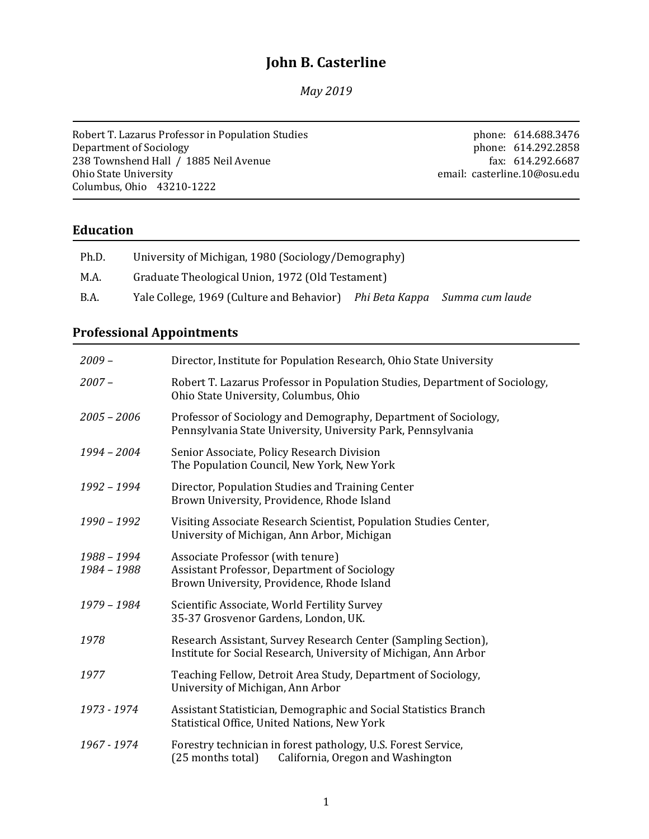# **John B. Casterline**

*May 2019*

Robert T. Lazarus Professor in Population Studies Department of Sociology 238 Townshend Hall / 1885 Neil Avenue Ohio State University Columbus, Ohio 43210-1222

phone: 614.688.3476 phone: 614.292.2858 fax: 614.292.6687 email: casterline.10@osu.edu

### **Education**

| Ph.D.       | University of Michigan, 1980 (Sociology/Demography)                      |  |  |
|-------------|--------------------------------------------------------------------------|--|--|
| M.A.        | Graduate Theological Union, 1972 (Old Testament)                         |  |  |
| <b>B.A.</b> | Yale College, 1969 (Culture and Behavior) Phi Beta Kappa Summa cum laude |  |  |

### **Professional Appointments**

| $2009 -$                   | Director, Institute for Population Research, Ohio State University                                                                 |  |
|----------------------------|------------------------------------------------------------------------------------------------------------------------------------|--|
| $2007 -$                   | Robert T. Lazarus Professor in Population Studies, Department of Sociology,<br>Ohio State University, Columbus, Ohio               |  |
| $2005 - 2006$              | Professor of Sociology and Demography, Department of Sociology,<br>Pennsylvania State University, University Park, Pennsylvania    |  |
| 1994 - 2004                | Senior Associate, Policy Research Division<br>The Population Council, New York, New York                                           |  |
| 1992 - 1994                | Director, Population Studies and Training Center<br>Brown University, Providence, Rhode Island                                     |  |
| $1990 - 1992$              | Visiting Associate Research Scientist, Population Studies Center,<br>University of Michigan, Ann Arbor, Michigan                   |  |
| 1988 - 1994<br>1984 - 1988 | Associate Professor (with tenure)<br>Assistant Professor, Department of Sociology<br>Brown University, Providence, Rhode Island    |  |
| 1979 - 1984                | Scientific Associate, World Fertility Survey<br>35-37 Grosvenor Gardens, London, UK.                                               |  |
| 1978                       | Research Assistant, Survey Research Center (Sampling Section),<br>Institute for Social Research, University of Michigan, Ann Arbor |  |
| 1977                       | Teaching Fellow, Detroit Area Study, Department of Sociology,<br>University of Michigan, Ann Arbor                                 |  |
| 1973 - 1974                | Assistant Statistician, Demographic and Social Statistics Branch<br>Statistical Office, United Nations, New York                   |  |
| 1967 - 1974                | Forestry technician in forest pathology, U.S. Forest Service,<br>(25 months total) California, Oregon and Washington               |  |
|                            |                                                                                                                                    |  |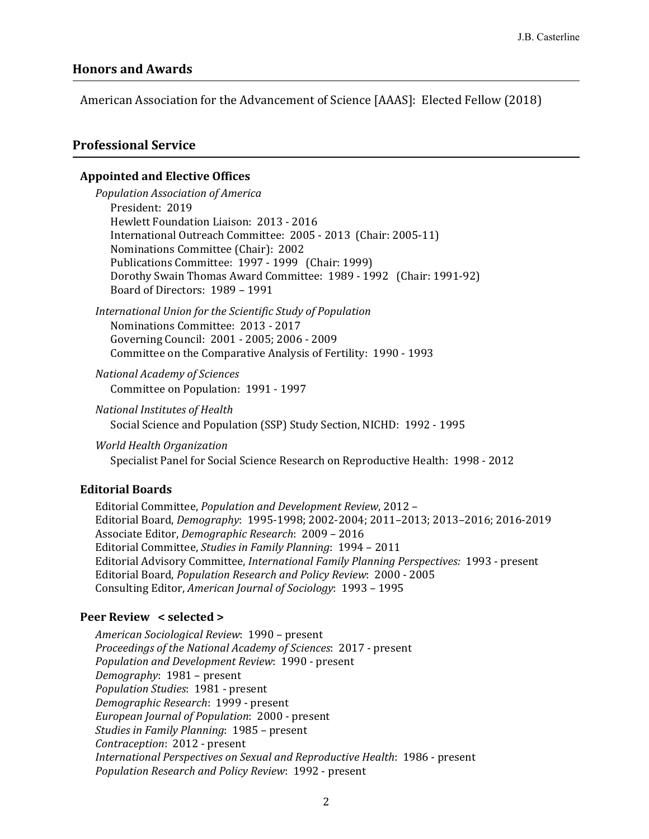#### **Honors and Awards**

American Association for the Advancement of Science [AAAS]: Elected Fellow (2018)

#### **Professional Service**

#### **Appointed and Elective Offices**

*Population Association of America* President: 2019 Hewlett Foundation Liaison: 2013 - 2016 International Outreach Committee: 2005 - 2013 (Chair: 2005-11) Nominations Committee (Chair): 2002 Publications Committee: 1997 - 1999 (Chair: 1999) Dorothy Swain Thomas Award Committee: 1989 - 1992 (Chair: 1991-92) Board of Directors: 1989 – 1991

*International Union for the Scientific Study of Population* Nominations Committee: 2013 - 2017 Governing Council: 2001 - 2005; 2006 - 2009 Committee on the Comparative Analysis of Fertility: 1990 - 1993

*National Academy of Sciences* Committee on Population: 1991 - 1997

*National Institutes of Health* Social Science and Population (SSP) Study Section, NICHD: 1992 - 1995

*World Health Organization*

Specialist Panel for Social Science Research on Reproductive Health: 1998 - 2012

#### **Editorial Boards**

Editorial Committee, *Population and Development Review*, 2012 – Editorial Board, *Demography*: 1995-1998; 2002-2004; 2011–2013; 2013–2016; 2016-2019 Associate Editor, *Demographic Research*: 2009 – 2016 Editorial Committee, *Studies in Family Planning*: 1994 – 2011 Editorial Advisory Committee, *International Family Planning Perspectives:* 1993 - present Editorial Board, *Population Research and Policy Review*: 2000 - 2005 Consulting Editor, *American Journal of Sociology*: 1993 – 1995

#### **Peer Review < selected >**

*American Sociological Review*: 1990 – present *Proceedings of the National Academy of Sciences*: 2017 - present *Population and Development Review*: 1990 - present *Demography*: 1981 – present *Population Studies*: 1981 - present *Demographic Research*: 1999 - present *European Journal of Population*: 2000 - present *Studies in Family Planning*: 1985 – present *Contraception*: 2012 - present *International Perspectives on Sexual and Reproductive Health*: 1986 - present *Population Research and Policy Review*: 1992 - present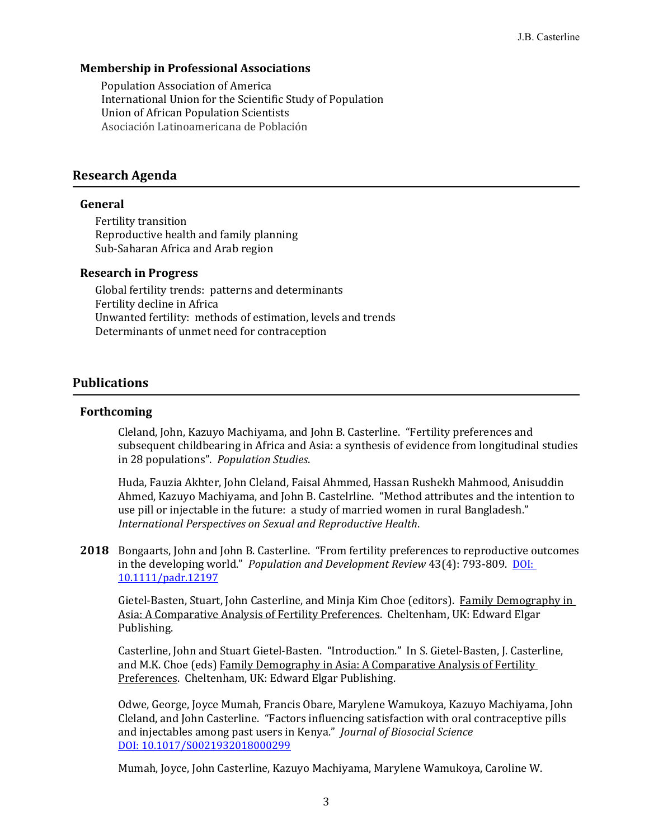#### **Membership in Professional Associations**

Population Association of America International Union for the Scientific Study of Population Union of African Population Scientists Asociación Latinoamericana de Población

### **Research Agenda**

#### **General**

Fertility transition Reproductive health and family planning Sub-Saharan Africa and Arab region

#### **Research in Progress**

Global fertility trends: patterns and determinants Fertility decline in Africa Unwanted fertility: methods of estimation, levels and trends Determinants of unmet need for contraception

#### **Publications**

#### **Forthcoming**

Cleland, John, Kazuyo Machiyama, and John B. Casterline. "Fertility preferences and subsequent childbearing in Africa and Asia: a synthesis of evidence from longitudinal studies in 28 populations". *Population Studies*.

Huda, Fauzia Akhter, John Cleland, Faisal Ahmmed, Hassan Rushekh Mahmood, Anisuddin Ahmed, Kazuyo Machiyama, and John B. Castelrline. "Method attributes and the intention to use pill or injectable in the future: a study of married women in rural Bangladesh." *International Perspectives on Sexual and Reproductive Health*.

**2018** Bongaarts, John and John B. Casterline. "From fertility preferences to reproductive outcomes in the developing world." *Population and Development Review* 43(4): 793-809. DOI: 10.1111/padr.12197

Gietel-Basten, Stuart, John Casterline, and Minja Kim Choe (editors). Family Demography in Asia: A Comparative Analysis of Fertility Preferences. Cheltenham, UK: Edward Elgar Publishing.

Casterline, John and Stuart Gietel-Basten. "Introduction." In S. Gietel-Basten, J. Casterline, and M.K. Choe (eds) Family Demography in Asia: A Comparative Analysis of Fertility Preferences. Cheltenham, UK: Edward Elgar Publishing.

Odwe, George, Joyce Mumah, Francis Obare, Marylene Wamukoya, Kazuyo Machiyama, John Cleland, and John Casterline. "Factors influencing satisfaction with oral contraceptive pills and injectables among past users in Kenya." *Journal of Biosocial Science* DOI: 10.1017/S0021932018000299

Mumah, Joyce, John Casterline, Kazuyo Machiyama, Marylene Wamukoya, Caroline W.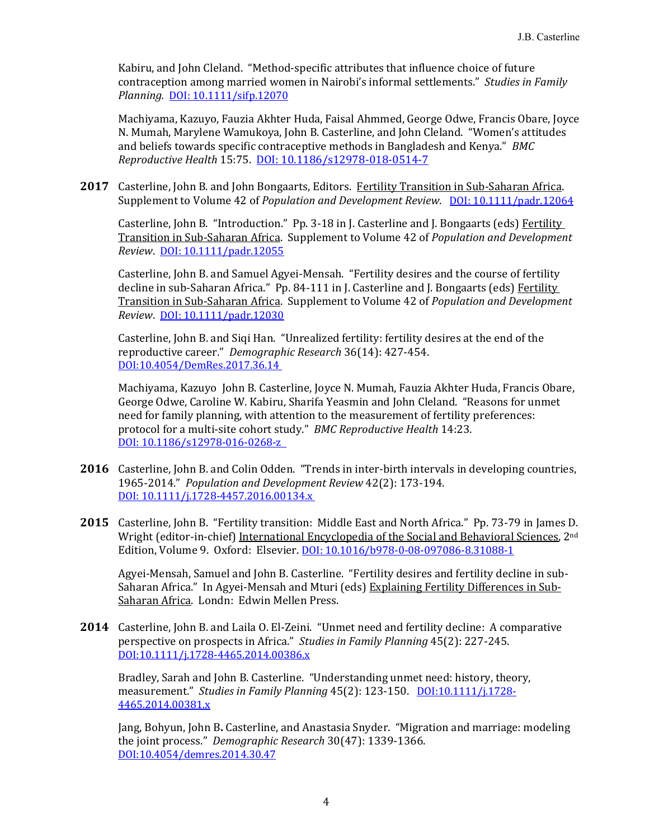Kabiru, and John Cleland. "Method-specific attributes that influence choice of future contraception among married women in Nairobi's informal settlements." *Studies in Family Planning.* DOI: 10.1111/sifp.12070

Machiyama, Kazuyo, Fauzia Akhter Huda, Faisal Ahmmed, George Odwe, Francis Obare, Joyce N. Mumah, Marylene Wamukoya, John B. Casterline, and John Cleland. "Women's attitudes and beliefs towards specific contraceptive methods in Bangladesh and Kenya." *BMC Reproductive Health* 15:75. DOI: 10.1186/s12978-018-0514-7

**2017** Casterline, John B. and John Bongaarts, Editors. Fertility Transition in Sub-Saharan Africa. Supplement to Volume 42 of *Population and Development Review*. DOI: 10.1111/padr.12064

Casterline, John B. "Introduction." Pp. 3-18 in J. Casterline and J. Bongaarts (eds) Fertility Transition in Sub-Saharan Africa. Supplement to Volume 42 of *Population and Development Review*. DOI: 10.1111/padr.12055

Casterline, John B. and Samuel Agyei-Mensah. "Fertility desires and the course of fertility decline in sub-Saharan Africa." Pp. 84-111 in J. Casterline and J. Bongaarts (eds) Fertility Transition in Sub-Saharan Africa. Supplement to Volume 42 of *Population and Development Review*. DOI: 10.1111/padr.12030

Casterline, John B. and Siqi Han. "Unrealized fertility: fertility desires at the end of the reproductive career." *Demographic Research* 36(14): 427-454. DOI:10.4054/DemRes.2017.36.14

Machiyama, Kazuyo John B. Casterline, Joyce N. Mumah, Fauzia Akhter Huda, Francis Obare, George Odwe, Caroline W. Kabiru, Sharifa Yeasmin and John Cleland. "Reasons for unmet need for family planning, with attention to the measurement of fertility preferences: protocol for a multi-site cohort study." *BMC Reproductive Health* 14:23. DOI: 10.1186/s12978-016-0268-z

- **2016** Casterline, John B. and Colin Odden. "Trends in inter-birth intervals in developing countries, 1965-2014." *Population and Development Review* 42(2): 173-194. DOI: 10.1111/j.1728-4457.2016.00134.x
- **2015** Casterline, John B. "Fertility transition: Middle East and North Africa." Pp. 73-79 in James D. Wright (editor-in-chief) International Encyclopedia of the Social and Behavioral Sciences, 2nd Edition, Volume 9. Oxford: Elsevier. DOI: 10.1016/b978-0-08-097086-8.31088-1

Agyei-Mensah, Samuel and John B. Casterline. "Fertility desires and fertility decline in sub-Saharan Africa." In Agyei-Mensah and Mturi (eds) Explaining Fertility Differences in Sub-Saharan Africa. Londn: Edwin Mellen Press.

**2014** Casterline, John B. and Laila O. El-Zeini. "Unmet need and fertility decline: A comparative perspective on prospects in Africa." *Studies in Family Planning* 45(2): 227-245. DOI:10.1111/j.1728-4465.2014.00386.x

Bradley, Sarah and John B. Casterline. "Understanding unmet need: history, theory, measurement." *Studies in Family Planning* 45(2): 123-150. DOI:10.1111/j.1728- 4465.2014.00381.x

Jang, Bohyun, John B**.** Casterline, and Anastasia Snyder. "Migration and marriage: modeling the joint process." *Demographic Research* 30(47): 1339-1366. DOI:10.4054/demres.2014.30.47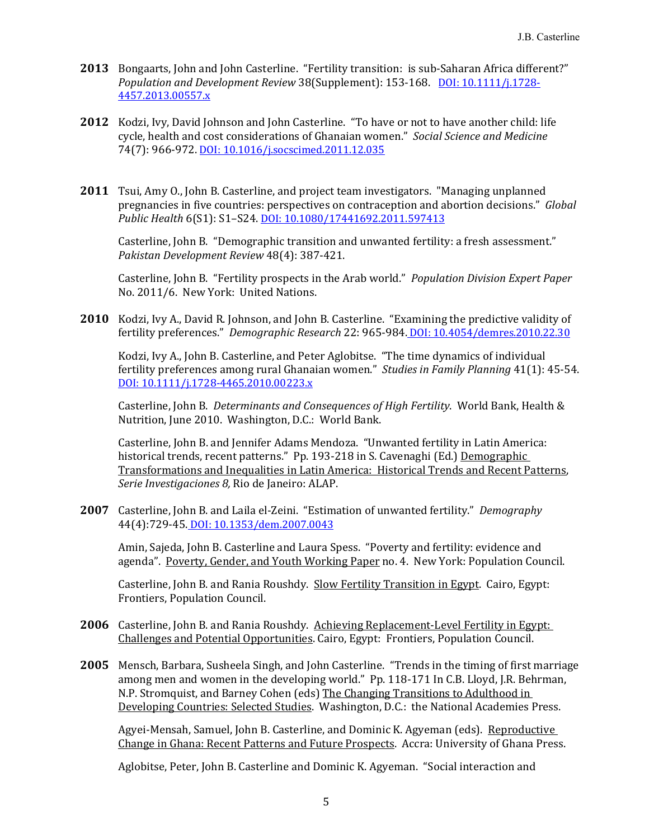- **2013** Bongaarts, John and John Casterline. "Fertility transition: is sub-Saharan Africa different?" *Population and Development Review* 38(Supplement): 153-168. DOI: 10.1111/j.1728- 4457.2013.00557.x
- **2012** Kodzi, Ivy, David Johnson and John Casterline. "To have or not to have another child: life cycle, health and cost considerations of Ghanaian women." *Social Science and Medicine* 74(7): 966-972. DOI: 10.1016/j.socscimed.2011.12.035
- **2011** Tsui, Amy O., John B. Casterline, and project team investigators. "Managing unplanned pregnancies in five countries: perspectives on contraception and abortion decisions." *Global Public Health* 6(S1): S1–S24. DOI: 10.1080/17441692.2011.597413

Casterline, John B. "Demographic transition and unwanted fertility: a fresh assessment." *Pakistan Development Review* 48(4): 387-421.

Casterline, John B. "Fertility prospects in the Arab world." *Population Division Expert Paper* No. 2011/6. New York: United Nations.

**2010** Kodzi, Ivy A., David R. Johnson, and John B. Casterline. "Examining the predictive validity of fertility preferences." *Demographic Research* 22: 965-984. DOI: 10.4054/demres.2010.22.30

Kodzi, Ivy A., John B. Casterline, and Peter Aglobitse. "The time dynamics of individual fertility preferences among rural Ghanaian women." *Studies in Family Planning* 41(1): 45-54. DOI: 10.1111/j.1728-4465.2010.00223.x

Casterline, John B. *Determinants and Consequences of High Fertility*. World Bank, Health & Nutrition, June 2010. Washington, D.C.: World Bank.

Casterline, John B. and Jennifer Adams Mendoza. "Unwanted fertility in Latin America: historical trends, recent patterns." Pp. 193-218 in S. Cavenaghi (Ed.) Demographic Transformations and Inequalities in Latin America: Historical Trends and Recent Patterns, *Serie Investigaciones 8,* Rio de Janeiro: ALAP.

**2007** Casterline, John B. and Laila el-Zeini. "Estimation of unwanted fertility." *Demography* 44(4):729-45. DOI: 10.1353/dem.2007.0043

Amin, Sajeda, John B. Casterline and Laura Spess. "Poverty and fertility: evidence and agenda". Poverty, Gender, and Youth Working Paper no. 4. New York: Population Council.

Casterline, John B. and Rania Roushdy. Slow Fertility Transition in Egypt. Cairo, Egypt: Frontiers, Population Council.

- **2006** Casterline, John B. and Rania Roushdy. Achieving Replacement-Level Fertility in Egypt: Challenges and Potential Opportunities. Cairo, Egypt: Frontiers, Population Council.
- **2005** Mensch, Barbara, Susheela Singh, and John Casterline. "Trends in the timing of first marriage among men and women in the developing world." Pp. 118-171 In C.B. Lloyd, J.R. Behrman, N.P. Stromquist, and Barney Cohen (eds) The Changing Transitions to Adulthood in Developing Countries: Selected Studies. Washington, D.C.: the National Academies Press.

Agyei-Mensah, Samuel, John B. Casterline, and Dominic K. Agyeman (eds). Reproductive Change in Ghana: Recent Patterns and Future Prospects. Accra: University of Ghana Press.

Aglobitse, Peter, John B. Casterline and Dominic K. Agyeman. "Social interaction and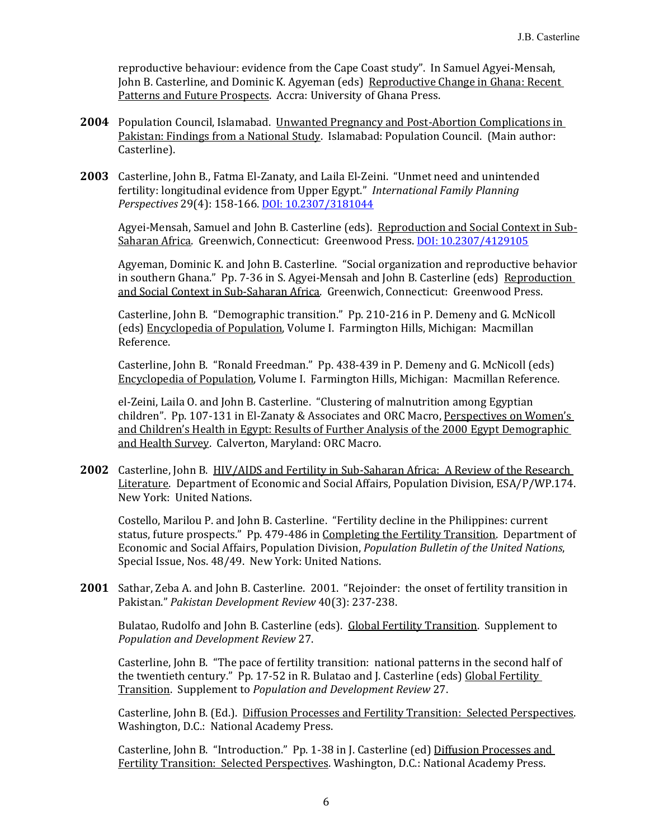reproductive behaviour: evidence from the Cape Coast study". In Samuel Agyei-Mensah, John B. Casterline, and Dominic K. Agyeman (eds) Reproductive Change in Ghana: Recent Patterns and Future Prospects. Accra: University of Ghana Press.

- **2004** Population Council, Islamabad. Unwanted Pregnancy and Post-Abortion Complications in Pakistan: Findings from a National Study. Islamabad: Population Council. (Main author: Casterline).
- **2003** Casterline, John B., Fatma El-Zanaty, and Laila El-Zeini. "Unmet need and unintended fertility: longitudinal evidence from Upper Egypt." *International Family Planning Perspectives* 29(4): 158-166. DOI: 10.2307/3181044

Agyei-Mensah, Samuel and John B. Casterline (eds). Reproduction and Social Context in Sub-Saharan Africa. Greenwich, Connecticut: Greenwood Press. DOI: 10.2307/4129105

Agyeman, Dominic K. and John B. Casterline. "Social organization and reproductive behavior in southern Ghana." Pp. 7-36 in S. Agyei-Mensah and John B. Casterline (eds) Reproduction and Social Context in Sub-Saharan Africa. Greenwich, Connecticut: Greenwood Press.

Casterline, John B. "Demographic transition." Pp. 210-216 in P. Demeny and G. McNicoll (eds) Encyclopedia of Population, Volume I. Farmington Hills, Michigan: Macmillan Reference.

Casterline, John B. "Ronald Freedman." Pp. 438-439 in P. Demeny and G. McNicoll (eds) Encyclopedia of Population, Volume I. Farmington Hills, Michigan: Macmillan Reference.

el-Zeini, Laila O. and John B. Casterline. "Clustering of malnutrition among Egyptian children". Pp. 107-131 in El-Zanaty & Associates and ORC Macro, Perspectives on Women's and Children's Health in Egypt: Results of Further Analysis of the 2000 Egypt Demographic and Health Survey. Calverton, Maryland: ORC Macro.

**2002** Casterline, John B. HIV/AIDS and Fertility in Sub-Saharan Africa: A Review of the Research Literature. Department of Economic and Social Affairs, Population Division, ESA/P/WP.174. New York: United Nations.

Costello, Marilou P. and John B. Casterline. "Fertility decline in the Philippines: current status, future prospects." Pp. 479-486 in Completing the Fertility Transition. Department of Economic and Social Affairs, Population Division, *Population Bulletin of the United Nations*, Special Issue, Nos. 48/49. New York: United Nations.

**2001** Sathar, Zeba A. and John B. Casterline. 2001. "Rejoinder: the onset of fertility transition in Pakistan." *Pakistan Development Review* 40(3): 237-238.

Bulatao, Rudolfo and John B. Casterline (eds). Global Fertility Transition. Supplement to *Population and Development Review* 27.

Casterline, John B. "The pace of fertility transition: national patterns in the second half of the twentieth century." Pp. 17-52 in R. Bulatao and J. Casterline (eds) Global Fertility Transition. Supplement to *Population and Development Review* 27.

Casterline, John B. (Ed.). Diffusion Processes and Fertility Transition: Selected Perspectives. Washington, D.C.: National Academy Press.

Casterline, John B. "Introduction." Pp. 1-38 in J. Casterline (ed) Diffusion Processes and Fertility Transition: Selected Perspectives. Washington, D.C.: National Academy Press.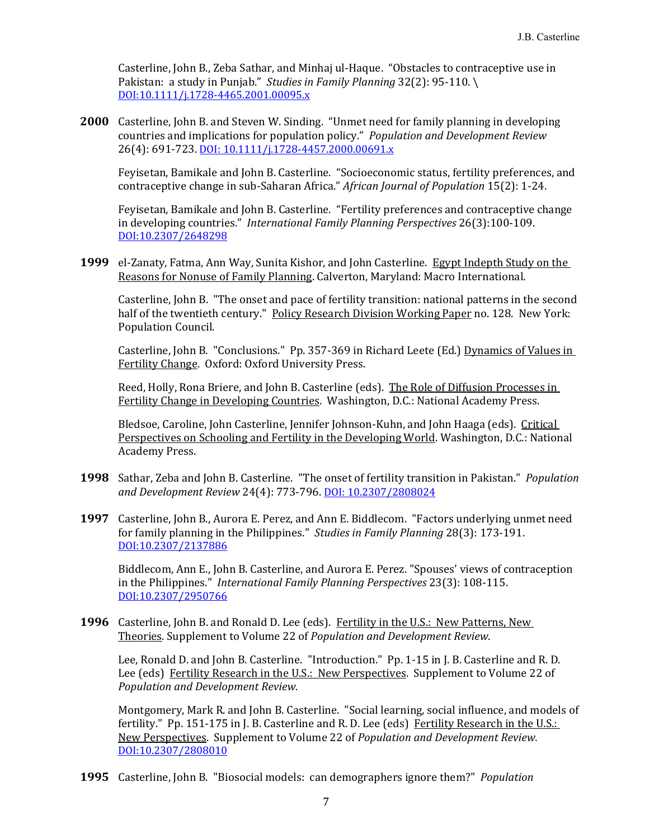Casterline, John B., Zeba Sathar, and Minhaj ul-Haque. "Obstacles to contraceptive use in Pakistan: a study in Punjab." *Studies in Family Planning* 32(2): 95-110. \ DOI:10.1111/j.1728-4465.2001.00095.x

**2000** Casterline, John B. and Steven W. Sinding. "Unmet need for family planning in developing countries and implications for population policy." *Population and Development Review* 26(4): 691-723. DOI: 10.1111/j.1728-4457.2000.00691.x

Feyisetan, Bamikale and John B. Casterline. "Socioeconomic status, fertility preferences, and contraceptive change in sub-Saharan Africa." *African Journal of Population* 15(2): 1-24.

Feyisetan, Bamikale and John B. Casterline. "Fertility preferences and contraceptive change in developing countries." *International Family Planning Perspectives* 26(3):100-109. DOI:10.2307/2648298

**1999** el-Zanaty, Fatma, Ann Way, Sunita Kishor, and John Casterline. Egypt Indepth Study on the Reasons for Nonuse of Family Planning. Calverton, Maryland: Macro International.

Casterline, John B. "The onset and pace of fertility transition: national patterns in the second half of the twentieth century." Policy Research Division Working Paper no. 128. New York: Population Council.

Casterline, John B. "Conclusions." Pp. 357-369 in Richard Leete (Ed.) Dynamics of Values in Fertility Change. Oxford: Oxford University Press.

Reed, Holly, Rona Briere, and John B. Casterline (eds). The Role of Diffusion Processes in Fertility Change in Developing Countries. Washington, D.C.: National Academy Press.

Bledsoe, Caroline, John Casterline, Jennifer Johnson-Kuhn, and John Haaga (eds). Critical Perspectives on Schooling and Fertility in the Developing World. Washington, D.C.: National Academy Press.

- **1998** Sathar, Zeba and John B. Casterline. "The onset of fertility transition in Pakistan." *Population and Development Review* 24(4): 773-796. DOI: 10.2307/2808024
- **1997** Casterline, John B., Aurora E. Perez, and Ann E. Biddlecom. "Factors underlying unmet need for family planning in the Philippines." *Studies in Family Planning* 28(3): 173-191. DOI:10.2307/2137886

Biddlecom, Ann E., John B. Casterline, and Aurora E. Perez. "Spouses' views of contraception in the Philippines." *International Family Planning Perspectives* 23(3): 108-115. DOI:10.2307/2950766

**1996** Casterline, John B. and Ronald D. Lee (eds). Fertility in the U.S.: New Patterns, New Theories. Supplement to Volume 22 of *Population and Development Review*.

Lee, Ronald D. and John B. Casterline. "Introduction." Pp. 1-15 in J. B. Casterline and R. D. Lee (eds) Fertility Research in the U.S.: New Perspectives. Supplement to Volume 22 of *Population and Development Review.*

Montgomery, Mark R. and John B. Casterline. "Social learning, social influence, and models of fertility." Pp. 151-175 in J. B. Casterline and R. D. Lee (eds) Fertility Research in the U.S.: New Perspectives. Supplement to Volume 22 of *Population and Development Review.* DOI:10.2307/2808010

**1995** Casterline, John B. "Biosocial models: can demographers ignore them?" *Population*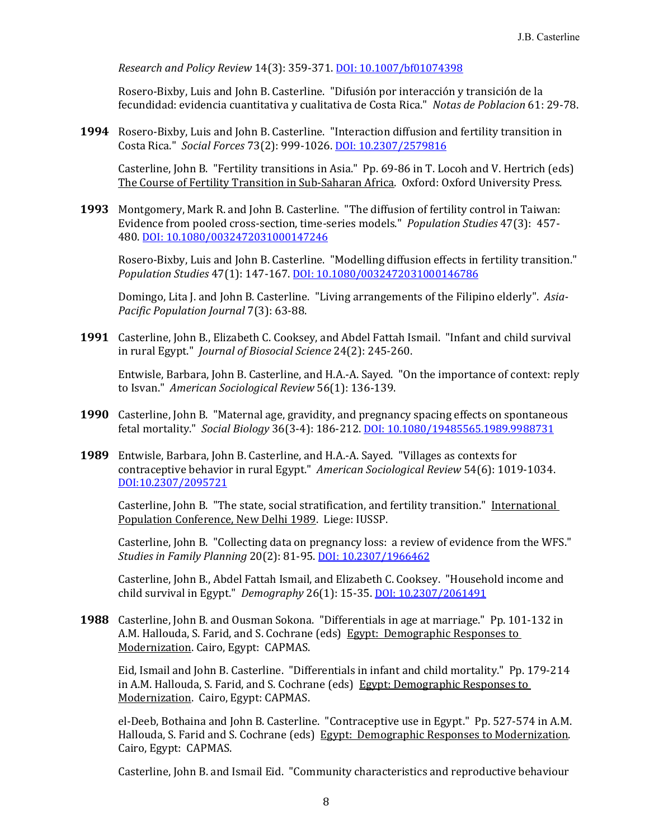*Research and Policy Review* 14(3): 359-371. DOI: 10.1007/bf01074398

Rosero-Bixby, Luis and John B. Casterline. "Difusión por interacción y transición de la fecundidad: evidencia cuantitativa y cualitativa de Costa Rica." *Notas de Poblacion* 61: 29-78.

**1994** Rosero-Bixby, Luis and John B. Casterline. "Interaction diffusion and fertility transition in Costa Rica." *Social Forces* 73(2): 999-1026. DOI: 10.2307/2579816

Casterline, John B. "Fertility transitions in Asia." Pp. 69-86 in T. Locoh and V. Hertrich (eds) The Course of Fertility Transition in Sub-Saharan Africa. Oxford: Oxford University Press.

**1993** Montgomery, Mark R. and John B. Casterline. "The diffusion of fertility control in Taiwan: Evidence from pooled cross-section, time-series models." *Population Studies* 47(3): 457- 480. DOI: 10.1080/0032472031000147246

Rosero-Bixby, Luis and John B. Casterline. "Modelling diffusion effects in fertility transition." *Population Studies* 47(1): 147-167. DOI: 10.1080/0032472031000146786

Domingo, Lita J. and John B. Casterline. "Living arrangements of the Filipino elderly". *Asia‐ Pacific Population Journal* 7(3): 63-88.

**1991** Casterline, John B., Elizabeth C. Cooksey, and Abdel Fattah Ismail. "Infant and child survival in rural Egypt." *Journal of Biosocial Science* 24(2): 245-260.

Entwisle, Barbara, John B. Casterline, and H.A.-A. Sayed. "On the importance of context: reply to Isvan." *American Sociological Review* 56(1): 136-139.

- **1990** Casterline, John B. "Maternal age, gravidity, and pregnancy spacing effects on spontaneous fetal mortality." *Social Biology* 36(3-4): 186-212. DOI: 10.1080/19485565.1989.9988731
- **1989** Entwisle, Barbara, John B. Casterline, and H.A.-A. Sayed. "Villages as contexts for contraceptive behavior in rural Egypt." *American Sociological Review* 54(6): 1019-1034. DOI:10.2307/2095721

Casterline, John B. "The state, social stratification, and fertility transition." International Population Conference, New Delhi 1989. Liege: IUSSP.

Casterline, John B. "Collecting data on pregnancy loss: a review of evidence from the WFS." *Studies in Family Planning* 20(2): 81-95. DOI: 10.2307/1966462

Casterline, John B., Abdel Fattah Ismail, and Elizabeth C. Cooksey. "Household income and child survival in Egypt." *Demography* 26(1): 15-35. DOI: 10.2307/2061491

**1988** Casterline, John B. and Ousman Sokona. "Differentials in age at marriage." Pp. 101-132 in A.M. Hallouda, S. Farid, and S. Cochrane (eds) Egypt: Demographic Responses to Modernization. Cairo, Egypt: CAPMAS.

Eid, Ismail and John B. Casterline. "Differentials in infant and child mortality." Pp. 179-214 in A.M. Hallouda, S. Farid, and S. Cochrane (eds) Egypt: Demographic Responses to Modernization. Cairo, Egypt: CAPMAS.

el-Deeb, Bothaina and John B. Casterline. "Contraceptive use in Egypt." Pp. 527-574 in A.M. Hallouda, S. Farid and S. Cochrane (eds) Egypt: Demographic Responses to Modernization. Cairo, Egypt: CAPMAS.

Casterline, John B. and Ismail Eid. "Community characteristics and reproductive behaviour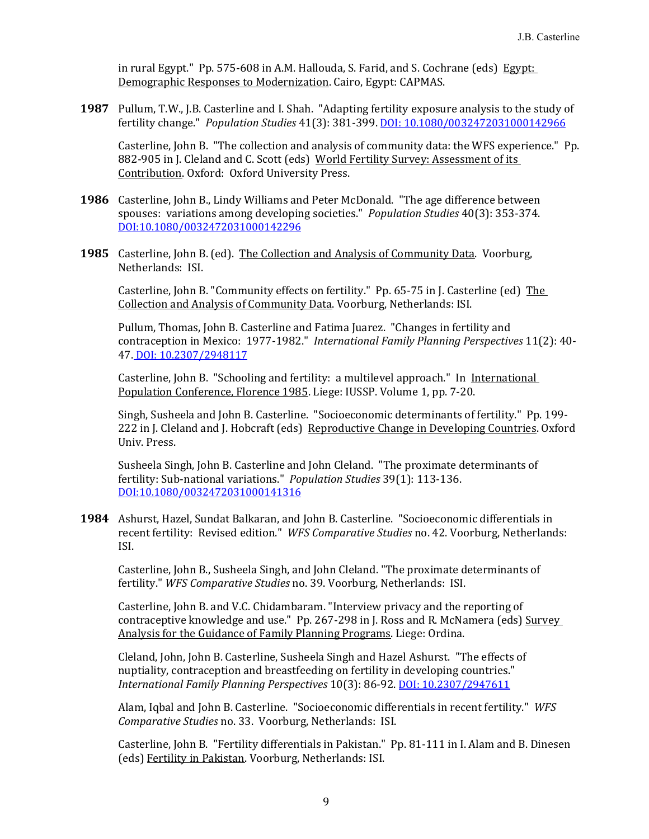in rural Egypt." Pp. 575-608 in A.M. Hallouda, S. Farid, and S. Cochrane (eds) Egypt: Demographic Responses to Modernization. Cairo, Egypt: CAPMAS.

**1987** Pullum, T.W., J.B. Casterline and I. Shah. "Adapting fertility exposure analysis to the study of fertility change." *Population Studies* 41(3): 381-399. DOI: 10.1080/0032472031000142966

Casterline, John B. "The collection and analysis of community data: the WFS experience." Pp. 882-905 in J. Cleland and C. Scott (eds) World Fertility Survey: Assessment of its Contribution. Oxford: Oxford University Press.

- **1986** Casterline, John B., Lindy Williams and Peter McDonald. "The age difference between spouses: variations among developing societies." *Population Studies* 40(3): 353-374. DOI:10.1080/0032472031000142296
- **1985** Casterline, John B. (ed). The Collection and Analysis of Community Data. Voorburg, Netherlands: ISI.

Casterline, John B. "Community effects on fertility." Pp. 65-75 in J. Casterline (ed) The Collection and Analysis of Community Data. Voorburg, Netherlands: ISI.

Pullum, Thomas, John B. Casterline and Fatima Juarez. "Changes in fertility and contraception in Mexico: 1977-1982." *International Family Planning Perspectives* 11(2): 40- 47. DOI: 10.2307/2948117

Casterline, John B. "Schooling and fertility: a multilevel approach." In International Population Conference, Florence 1985. Liege: IUSSP. Volume 1, pp. 7-20.

Singh, Susheela and John B. Casterline. "Socioeconomic determinants of fertility." Pp. 199- 222 in J. Cleland and J. Hobcraft (eds) Reproductive Change in Developing Countries. Oxford Univ. Press.

Susheela Singh, John B. Casterline and John Cleland. "The proximate determinants of fertility: Sub-national variations." *Population Studies* 39(1): 113-136. DOI:10.1080/0032472031000141316

**1984** Ashurst, Hazel, Sundat Balkaran, and John B. Casterline. "Socioeconomic differentials in recent fertility: Revised edition." *WFS Comparative Studies* no. 42. Voorburg, Netherlands: ISI.

Casterline, John B., Susheela Singh, and John Cleland. "The proximate determinants of fertility." *WFS Comparative Studies* no. 39. Voorburg, Netherlands: ISI.

Casterline, John B. and V.C. Chidambaram. "Interview privacy and the reporting of contraceptive knowledge and use." Pp. 267-298 in J. Ross and R. McNamera (eds) Survey Analysis for the Guidance of Family Planning Programs. Liege: Ordina.

Cleland, John, John B. Casterline, Susheela Singh and Hazel Ashurst. "The effects of nuptiality, contraception and breastfeeding on fertility in developing countries." *International Family Planning Perspectives* 10(3): 86-92. DOI: 10.2307/2947611

Alam, Iqbal and John B. Casterline. "Socioeconomic differentials in recent fertility." *WFS Comparative Studies* no. 33. Voorburg, Netherlands: ISI.

Casterline, John B. "Fertility differentials in Pakistan." Pp. 81-111 in I. Alam and B. Dinesen (eds) Fertility in Pakistan. Voorburg, Netherlands: ISI.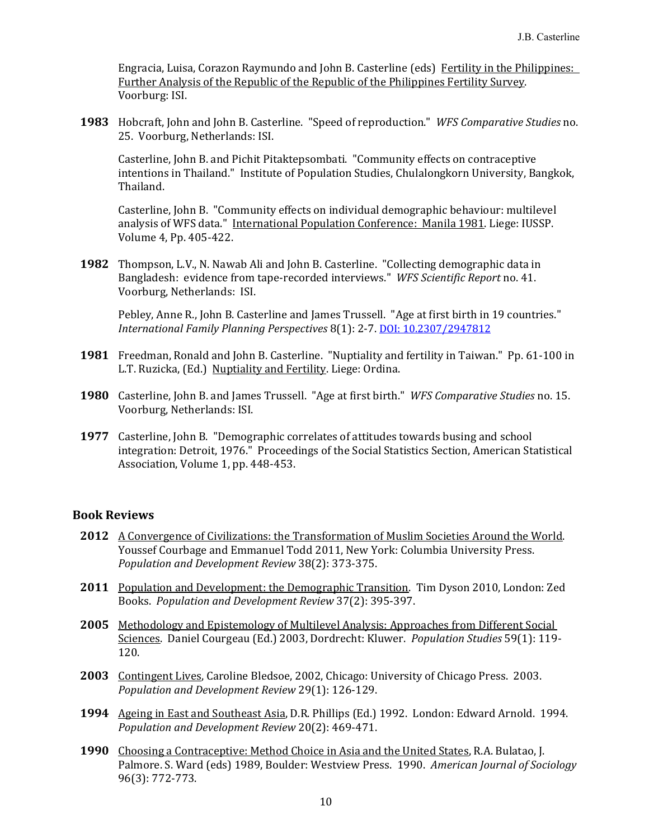Engracia, Luisa, Corazon Raymundo and John B. Casterline (eds) Fertility in the Philippines: Further Analysis of the Republic of the Republic of the Philippines Fertility Survey. Voorburg: ISI.

**1983** Hobcraft, John and John B. Casterline. "Speed of reproduction." *WFS Comparative Studies* no. 25. Voorburg, Netherlands: ISI.

Casterline, John B. and Pichit Pitaktepsombati. "Community effects on contraceptive intentions in Thailand." Institute of Population Studies, Chulalongkorn University, Bangkok, Thailand.

Casterline, John B. "Community effects on individual demographic behaviour: multilevel analysis of WFS data." International Population Conference: Manila 1981. Liege: IUSSP. Volume 4, Pp. 405-422.

**1982** Thompson, L.V., N. Nawab Ali and John B. Casterline. "Collecting demographic data in Bangladesh: evidence from tape-recorded interviews." *WFS Scientific Report* no. 41. Voorburg, Netherlands: ISI.

Pebley, Anne R., John B. Casterline and James Trussell. "Age at first birth in 19 countries." *International Family Planning Perspectives* 8(1): 2-7. DOI: 10.2307/2947812

- **1981** Freedman, Ronald and John B. Casterline. "Nuptiality and fertility in Taiwan." Pp. 61-100 in L.T. Ruzicka, (Ed.) Nuptiality and Fertility. Liege: Ordina.
- **1980** Casterline, John B. and James Trussell. "Age at first birth." *WFS Comparative Studies* no. 15. Voorburg, Netherlands: ISI.
- **1977** Casterline, John B. "Demographic correlates of attitudes towards busing and school integration: Detroit, 1976." Proceedings of the Social Statistics Section, American Statistical Association, Volume 1, pp. 448-453.

#### **Book Reviews**

- **2012** A Convergence of Civilizations: the Transformation of Muslim Societies Around the World. Youssef Courbage and Emmanuel Todd 2011, New York: Columbia University Press. *Population and Development Review* 38(2): 373-375.
- **2011** Population and Development: the Demographic Transition. Tim Dyson 2010, London: Zed Books. *Population and Development Review* 37(2): 395-397.
- **2005** Methodology and Epistemology of Multilevel Analysis: Approaches from Different Social Sciences. Daniel Courgeau (Ed.) 2003, Dordrecht: Kluwer. *Population Studies* 59(1): 119- 120.
- **2003** Contingent Lives, Caroline Bledsoe, 2002, Chicago: University of Chicago Press. 2003. *Population and Development Review* 29(1): 126-129.
- **1994** Ageing in East and Southeast Asia, D.R. Phillips (Ed.) 1992. London: Edward Arnold. 1994. *Population and Development Review* 20(2): 469-471.
- **1990** Choosing a Contraceptive: Method Choice in Asia and the United States, R.A. Bulatao, J. Palmore. S. Ward (eds) 1989, Boulder: Westview Press. 1990. *American Journal of Sociology* 96(3): 772-773.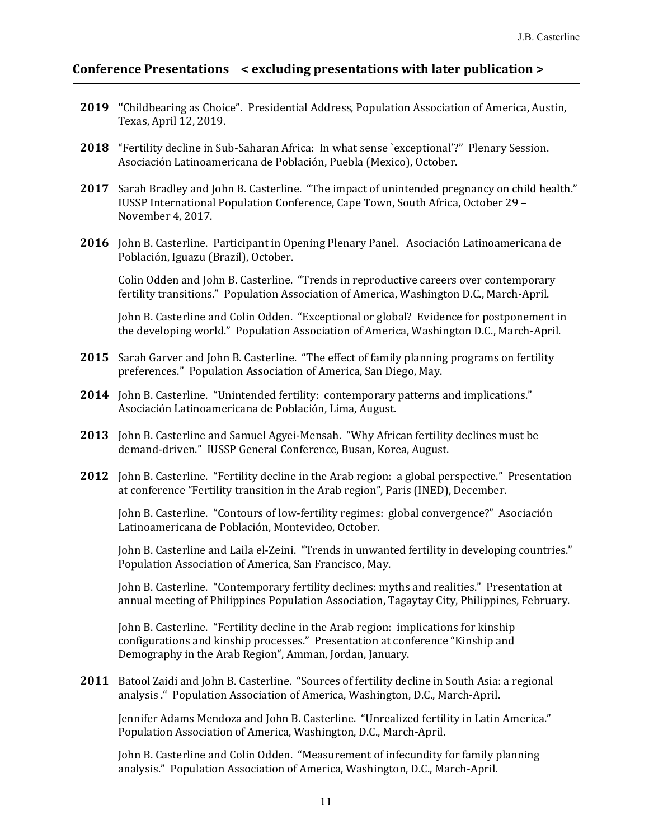### **Conference Presentations < excluding presentations with later publication >**

- **2019 "**Childbearing as Choice". Presidential Address, Population Association of America, Austin, Texas, April 12, 2019.
- **2018** "Fertility decline in Sub-Saharan Africa: In what sense `exceptional'?" Plenary Session. Asociación Latinoamericana de Población, Puebla (Mexico), October.
- **2017** Sarah Bradley and John B. Casterline. "The impact of unintended pregnancy on child health." IUSSP International Population Conference, Cape Town, South Africa, October 29 – November 4, 2017.
- **2016** John B. Casterline. Participant in Opening Plenary Panel. Asociación Latinoamericana de Población, Iguazu (Brazil), October.

Colin Odden and John B. Casterline. "Trends in reproductive careers over contemporary fertility transitions." Population Association of America, Washington D.C., March-April.

John B. Casterline and Colin Odden. "Exceptional or global? Evidence for postponement in the developing world." Population Association of America, Washington D.C., March-April.

- **2015** Sarah Garver and John B. Casterline. "The effect of family planning programs on fertility preferences." Population Association of America, San Diego, May.
- **2014** John B. Casterline. "Unintended fertility: contemporary patterns and implications." Asociación Latinoamericana de Población, Lima, August.
- **2013** John B. Casterline and Samuel Agyei-Mensah. "Why African fertility declines must be demand-driven." IUSSP General Conference, Busan, Korea, August.
- **2012** John B. Casterline. "Fertility decline in the Arab region: a global perspective." Presentation at conference "Fertility transition in the Arab region", Paris (INED), December.

John B. Casterline. "Contours of low-fertility regimes: global convergence?" Asociación Latinoamericana de Población, Montevideo, October.

John B. Casterline and Laila el-Zeini. "Trends in unwanted fertility in developing countries." Population Association of America, San Francisco, May.

John B. Casterline. "Contemporary fertility declines: myths and realities." Presentation at annual meeting of Philippines Population Association, Tagaytay City, Philippines, February.

John B. Casterline. "Fertility decline in the Arab region: implications for kinship configurations and kinship processes." Presentation at conference "Kinship and Demography in the Arab Region", Amman, Jordan, January.

**2011** Batool Zaidi and John B. Casterline. "Sources of fertility decline in South Asia: a regional analysis ." Population Association of America, Washington, D.C., March-April.

Jennifer Adams Mendoza and John B. Casterline. "Unrealized fertility in Latin America." Population Association of America, Washington, D.C., March-April.

John B. Casterline and Colin Odden. "Measurement of infecundity for family planning analysis." Population Association of America, Washington, D.C., March-April.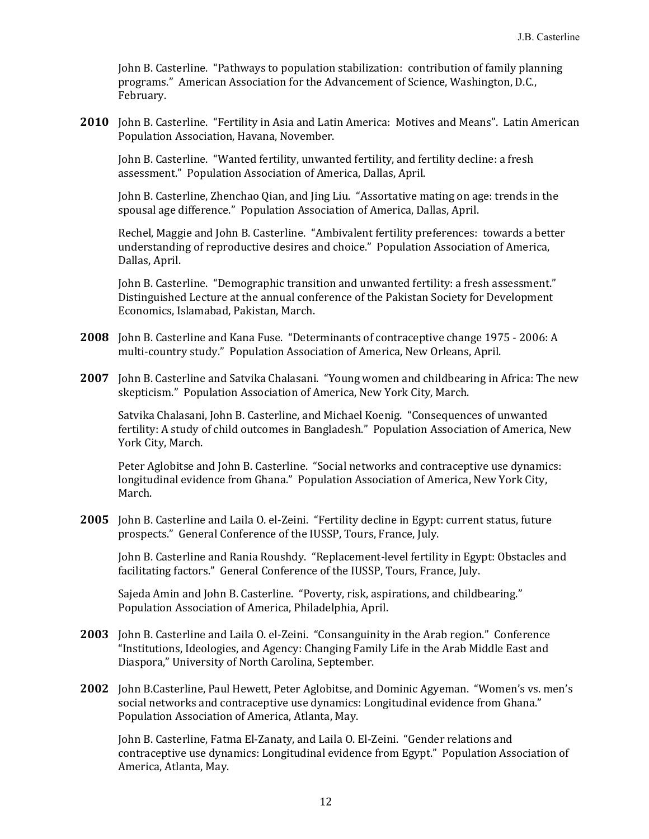John B. Casterline. "Pathways to population stabilization: contribution of family planning programs." American Association for the Advancement of Science, Washington, D.C., February.

**2010** John B. Casterline. "Fertility in Asia and Latin America: Motives and Means". Latin American Population Association, Havana, November.

John B. Casterline. "Wanted fertility, unwanted fertility, and fertility decline: a fresh assessment." Population Association of America, Dallas, April.

John B. Casterline, Zhenchao Qian, and Jing Liu. "Assortative mating on age: trends in the spousal age difference." Population Association of America, Dallas, April.

Rechel, Maggie and John B. Casterline. "Ambivalent fertility preferences: towards a better understanding of reproductive desires and choice." Population Association of America, Dallas, April.

John B. Casterline. "Demographic transition and unwanted fertility: a fresh assessment." Distinguished Lecture at the annual conference of the Pakistan Society for Development Economics, Islamabad, Pakistan, March.

- **2008** John B. Casterline and Kana Fuse. "Determinants of contraceptive change 1975 2006: A multi-country study." Population Association of America, New Orleans, April.
- **2007** John B. Casterline and Satvika Chalasani. "Young women and childbearing in Africa: The new skepticism." Population Association of America, New York City, March.

Satvika Chalasani, John B. Casterline, and Michael Koenig. "Consequences of unwanted fertility: A study of child outcomes in Bangladesh." Population Association of America, New York City, March.

Peter Aglobitse and John B. Casterline. "Social networks and contraceptive use dynamics: longitudinal evidence from Ghana." Population Association of America, New York City, March.

**2005** John B. Casterline and Laila O. el-Zeini. "Fertility decline in Egypt: current status, future prospects." General Conference of the IUSSP, Tours, France, July.

John B. Casterline and Rania Roushdy. "Replacement-level fertility in Egypt: Obstacles and facilitating factors." General Conference of the IUSSP, Tours, France, July.

Sajeda Amin and John B. Casterline. "Poverty, risk, aspirations, and childbearing." Population Association of America, Philadelphia, April.

- **2003** John B. Casterline and Laila O. el-Zeini. "Consanguinity in the Arab region." Conference "Institutions, Ideologies, and Agency: Changing Family Life in the Arab Middle East and Diaspora," University of North Carolina, September.
- **2002** John B.Casterline, Paul Hewett, Peter Aglobitse, and Dominic Agyeman. "Women's vs. men's social networks and contraceptive use dynamics: Longitudinal evidence from Ghana." Population Association of America, Atlanta, May.

John B. Casterline, Fatma El-Zanaty, and Laila O. El-Zeini. "Gender relations and contraceptive use dynamics: Longitudinal evidence from Egypt." Population Association of America, Atlanta, May.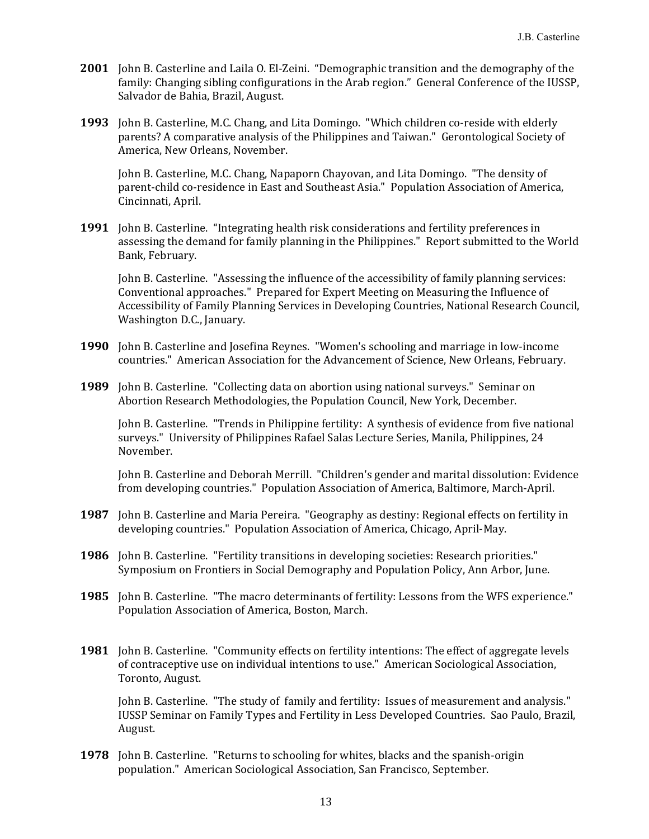- **2001** John B. Casterline and Laila O. El-Zeini. "Demographic transition and the demography of the family: Changing sibling configurations in the Arab region." General Conference of the IUSSP, Salvador de Bahia, Brazil, August.
- **1993** John B. Casterline, M.C. Chang, and Lita Domingo. "Which children co-reside with elderly parents? A comparative analysis of the Philippines and Taiwan." Gerontological Society of America, New Orleans, November.

John B. Casterline, M.C. Chang, Napaporn Chayovan, and Lita Domingo. "The density of parent-child co-residence in East and Southeast Asia." Population Association of America, Cincinnati, April.

**1991** John B. Casterline. "Integrating health risk considerations and fertility preferences in assessing the demand for family planning in the Philippines." Report submitted to the World Bank, February.

John B. Casterline. "Assessing the influence of the accessibility of family planning services: Conventional approaches." Prepared for Expert Meeting on Measuring the Influence of Accessibility of Family Planning Services in Developing Countries, National Research Council, Washington D.C., January.

- **1990** John B. Casterline and Josefina Reynes. "Women's schooling and marriage in low-income countries." American Association for the Advancement of Science, New Orleans, February.
- **1989** John B. Casterline. "Collecting data on abortion using national surveys." Seminar on Abortion Research Methodologies, the Population Council, New York, December.

John B. Casterline. "Trends in Philippine fertility: A synthesis of evidence from five national surveys." University of Philippines Rafael Salas Lecture Series, Manila, Philippines, 24 November.

John B. Casterline and Deborah Merrill. "Children's gender and marital dissolution: Evidence from developing countries." Population Association of America, Baltimore, March-April.

- **1987** John B. Casterline and Maria Pereira. "Geography as destiny: Regional effects on fertility in developing countries." Population Association of America, Chicago, April-May.
- **1986** John B. Casterline. "Fertility transitions in developing societies: Research priorities." Symposium on Frontiers in Social Demography and Population Policy, Ann Arbor, June.
- **1985** John B. Casterline. "The macro determinants of fertility: Lessons from the WFS experience." Population Association of America, Boston, March.
- **1981** John B. Casterline. "Community effects on fertility intentions: The effect of aggregate levels of contraceptive use on individual intentions to use." American Sociological Association, Toronto, August.

John B. Casterline. "The study of family and fertility: Issues of measurement and analysis." IUSSP Seminar on Family Types and Fertility in Less Developed Countries. Sao Paulo, Brazil, August.

**1978** John B. Casterline. "Returns to schooling for whites, blacks and the spanish-origin population." American Sociological Association, San Francisco, September.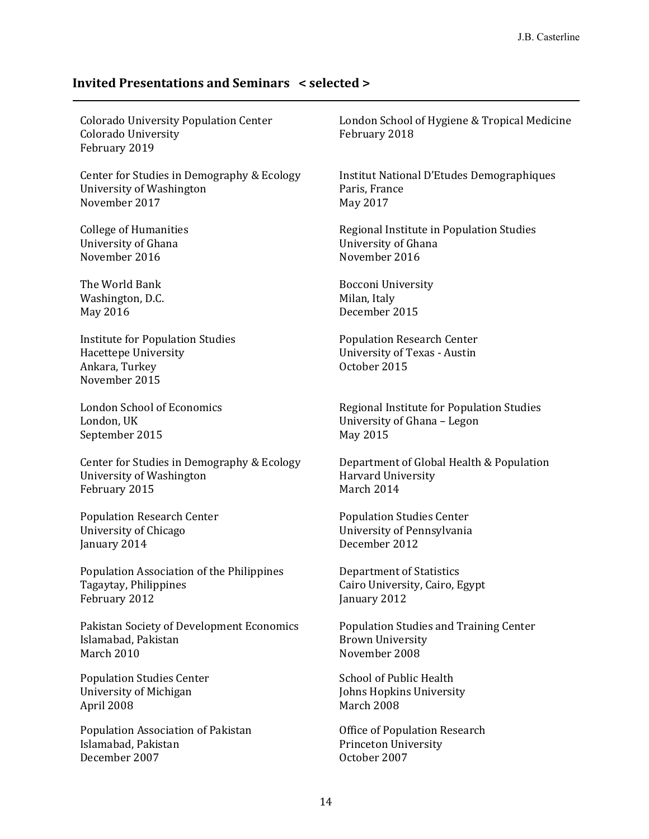## **Invited Presentations and Seminars < selected >**

| <b>Colorado University Population Center</b><br><b>Colorado University</b><br>February 2019        | London School of Hygiene & Tropical Medicine<br>February 2018                     |
|----------------------------------------------------------------------------------------------------|-----------------------------------------------------------------------------------|
| Center for Studies in Demography & Ecology                                                         | Institut National D'Etudes Demographiques                                         |
| University of Washington                                                                           | Paris, France                                                                     |
| November 2017                                                                                      | May 2017                                                                          |
| <b>College of Humanities</b>                                                                       | Regional Institute in Population Studies                                          |
| University of Ghana                                                                                | University of Ghana                                                               |
| November 2016                                                                                      | November 2016                                                                     |
| The World Bank                                                                                     | <b>Bocconi University</b>                                                         |
| Washington, D.C.                                                                                   | Milan, Italy                                                                      |
| May 2016                                                                                           | December 2015                                                                     |
| <b>Institute for Population Studies</b><br>Hacettepe University<br>Ankara, Turkey<br>November 2015 | <b>Population Research Center</b><br>University of Texas - Austin<br>October 2015 |
| <b>London School of Economics</b>                                                                  | Regional Institute for Population Studies                                         |
| London, UK                                                                                         | University of Ghana - Legon                                                       |
| September 2015                                                                                     | May 2015                                                                          |
| Center for Studies in Demography & Ecology                                                         | Department of Global Health & Population                                          |
| University of Washington                                                                           | <b>Harvard University</b>                                                         |
| February 2015                                                                                      | March 2014                                                                        |
| <b>Population Research Center</b>                                                                  | <b>Population Studies Center</b>                                                  |
| University of Chicago                                                                              | University of Pennsylvania                                                        |
| January 2014                                                                                       | December 2012                                                                     |
| Population Association of the Philippines                                                          | <b>Department of Statistics</b>                                                   |
| Tagaytay, Philippines                                                                              | Cairo University, Cairo, Egypt                                                    |
| February 2012                                                                                      | January 2012                                                                      |
| Pakistan Society of Development Economics                                                          | Population Studies and Training Center                                            |
| Islamabad, Pakistan                                                                                | <b>Brown University</b>                                                           |
| March 2010                                                                                         | November 2008                                                                     |
| <b>Population Studies Center</b>                                                                   | <b>School of Public Health</b>                                                    |
| University of Michigan                                                                             | Johns Hopkins University                                                          |
| April 2008                                                                                         | March 2008                                                                        |

Population Association of Pakistan Office of Population Research December 2007 October 2007

Princeton University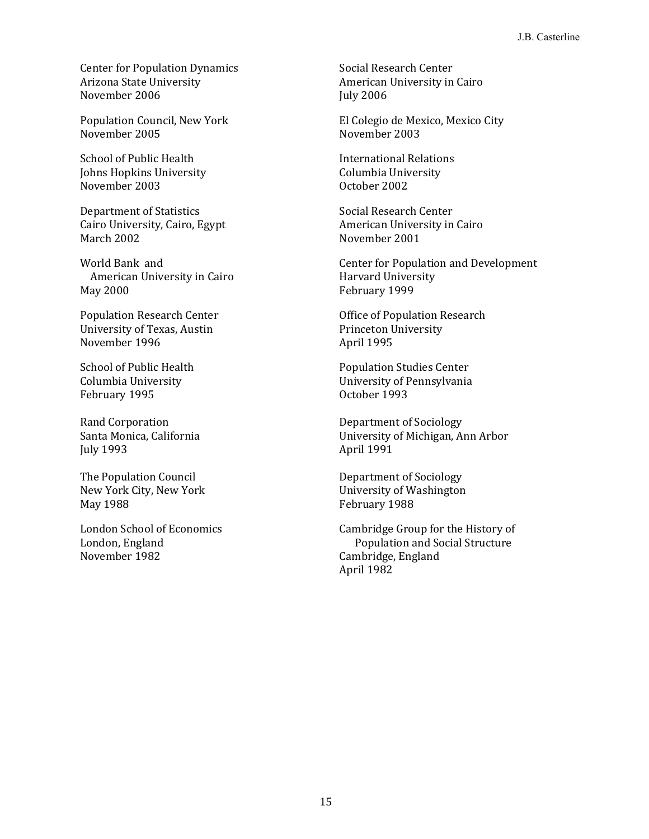Center for Population Dynamics Social Research Center Arizona State University **American University in Cairo** American University in Cairo November 2006 July 2006

November 2005 November 2003

School of Public Health **International Relations** *International Relations* Johns Hopkins University Columbia University November 2003 October 2002

Department of Statistics Social Research Center Cairo University, Cairo, Egypt **American University in Cairo** March 2002 November 2001

American University in Cairo **Harvard University** May 2000 February 1999

University of Texas, Austin Princeton University November 1996 April 1995

February 1995 **CHO** COMBET 1993

July 1993 April 1991

The Population Council **The Population Council** Department of Sociology May 1988 **February 1988** 

November 1982 Cambridge, England

Population Council, New York El Colegio de Mexico, Mexico City

World Bank and **Center for Population and Development** 

Population Research Center **Center** Office of Population Research

School of Public Health Population Studies Center Columbia University University of Pennsylvania

Rand Corporation **Compact Corporation** Department of Sociology Santa Monica, California 2002 10 University of Michigan, Ann Arbor

New York City, New York University of Washington

London School of Economics Cambridge Group for the History of London, England Population and Social Structure April 1982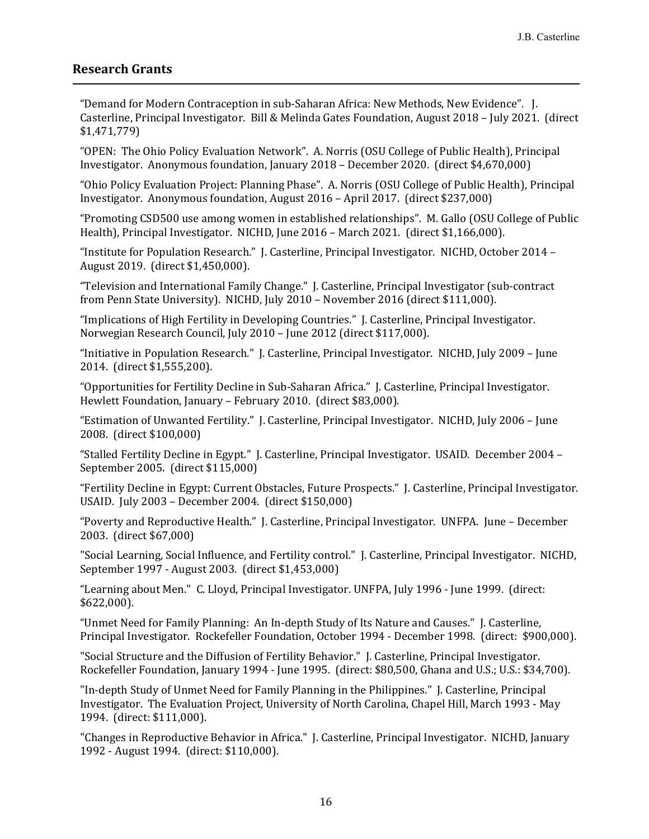### **Research Grants**

"Demand for Modern Contraception in sub-Saharan Africa: New Methods, New Evidence". J. Casterline, Principal Investigator. Bill & Melinda Gates Foundation, August 2018 – July 2021. (direct \$1,471,779)

"OPEN: The Ohio Policy Evaluation Network". A. Norris (OSU College of Public Health), Principal Investigator. Anonymous foundation, January 2018 – December 2020. (direct \$4,670,000)

"Ohio Policy Evaluation Project: Planning Phase". A. Norris (OSU College of Public Health), Principal Investigator. Anonymous foundation, August 2016 – April 2017. (direct \$237,000)

"Promoting CSD500 use among women in established relationships". M. Gallo (OSU College of Public Health), Principal Investigator. NICHD, June 2016 – March 2021. (direct \$1,166,000).

"Institute for Population Research." J. Casterline, Principal Investigator. NICHD, October 2014 – August 2019. (direct \$1,450,000).

"Television and International Family Change." J. Casterline, Principal Investigator (sub-contract from Penn State University). NICHD, July 2010 – November 2016 (direct \$111,000).

"Implications of High Fertility in Developing Countries." J. Casterline, Principal Investigator. Norwegian Research Council, July 2010 – June 2012 (direct \$117,000).

"Initiative in Population Research." J. Casterline, Principal Investigator. NICHD, July 2009 – June 2014. (direct \$1,555,200).

"Opportunities for Fertility Decline in Sub-Saharan Africa." J. Casterline, Principal Investigator. Hewlett Foundation, January – February 2010. (direct \$83,000).

"Estimation of Unwanted Fertility." J. Casterline, Principal Investigator. NICHD, July 2006 – June 2008. (direct \$100,000)

"Stalled Fertility Decline in Egypt." J. Casterline, Principal Investigator. USAID. December 2004 – September 2005. (direct \$115,000)

"Fertility Decline in Egypt: Current Obstacles, Future Prospects." J. Casterline, Principal Investigator. USAID. July 2003 – December 2004. (direct \$150,000)

"Poverty and Reproductive Health." J. Casterline, Principal Investigator. UNFPA. June – December 2003. (direct \$67,000)

"Social Learning, Social Influence, and Fertility control." J. Casterline, Principal Investigator. NICHD, September 1997 - August 2003. (direct \$1,453,000)

"Learning about Men." C. Lloyd, Principal Investigator. UNFPA, July 1996 - June 1999. (direct: \$622,000).

"Unmet Need for Family Planning: An In-depth Study of Its Nature and Causes." J. Casterline, Principal Investigator. Rockefeller Foundation, October 1994 - December 1998. (direct: \$900,000).

"Social Structure and the Diffusion of Fertility Behavior." J. Casterline, Principal Investigator. Rockefeller Foundation, January 1994 - June 1995. (direct: \$80,500, Ghana and U.S.; U.S.: \$34,700).

"In-depth Study of Unmet Need for Family Planning in the Philippines." J. Casterline, Principal Investigator. The Evaluation Project, University of North Carolina, Chapel Hill, March 1993 - May 1994. (direct: \$111,000).

"Changes in Reproductive Behavior in Africa." J. Casterline, Principal Investigator. NICHD, January 1992 - August 1994. (direct: \$110,000).